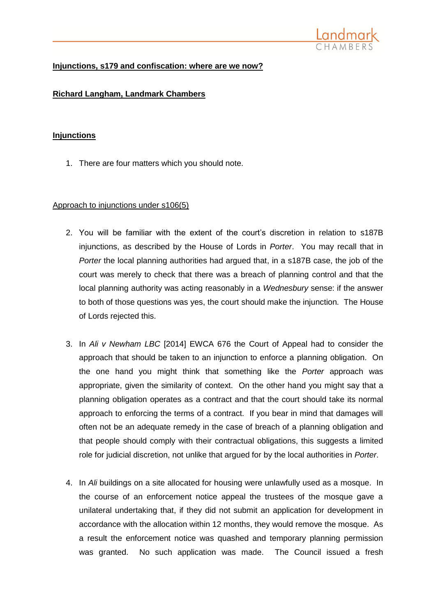

# **Injunctions, s179 and confiscation: where are we now?**

# **Richard Langham, Landmark Chambers**

## **Injunctions**

1. There are four matters which you should note.

## Approach to injunctions under s106(5)

- 2. You will be familiar with the extent of the court's discretion in relation to s187B injunctions, as described by the House of Lords in *Porter*. You may recall that in *Porter* the local planning authorities had argued that, in a s187B case, the job of the court was merely to check that there was a breach of planning control and that the local planning authority was acting reasonably in a *Wednesbury* sense: if the answer to both of those questions was yes, the court should make the injunction. The House of Lords rejected this.
- 3. In *Ali v Newham LBC* [2014] EWCA 676 the Court of Appeal had to consider the approach that should be taken to an injunction to enforce a planning obligation. On the one hand you might think that something like the *Porter* approach was appropriate, given the similarity of context. On the other hand you might say that a planning obligation operates as a contract and that the court should take its normal approach to enforcing the terms of a contract. If you bear in mind that damages will often not be an adequate remedy in the case of breach of a planning obligation and that people should comply with their contractual obligations, this suggests a limited role for judicial discretion, not unlike that argued for by the local authorities in *Porter*.
- 4. In *Ali* buildings on a site allocated for housing were unlawfully used as a mosque. In the course of an enforcement notice appeal the trustees of the mosque gave a unilateral undertaking that, if they did not submit an application for development in accordance with the allocation within 12 months, they would remove the mosque. As a result the enforcement notice was quashed and temporary planning permission was granted. No such application was made. The Council issued a fresh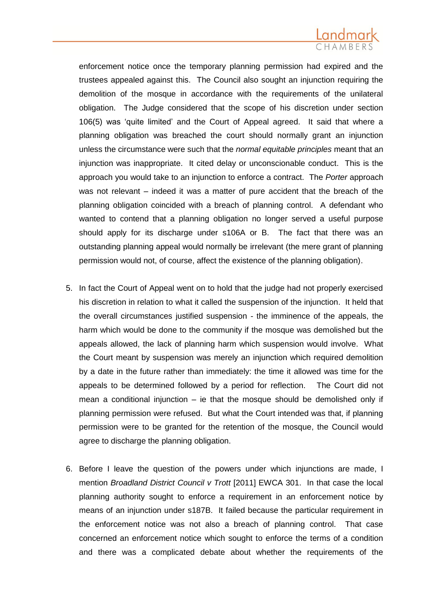enforcement notice once the temporary planning permission had expired and the trustees appealed against this. The Council also sought an injunction requiring the demolition of the mosque in accordance with the requirements of the unilateral obligation. The Judge considered that the scope of his discretion under section 106(5) was 'quite limited' and the Court of Appeal agreed. It said that where a planning obligation was breached the court should normally grant an injunction unless the circumstance were such that the *normal equitable principles* meant that an injunction was inappropriate. It cited delay or unconscionable conduct. This is the approach you would take to an injunction to enforce a contract. The *Porter* approach was not relevant – indeed it was a matter of pure accident that the breach of the planning obligation coincided with a breach of planning control. A defendant who wanted to contend that a planning obligation no longer served a useful purpose should apply for its discharge under s106A or B. The fact that there was an outstanding planning appeal would normally be irrelevant (the mere grant of planning permission would not, of course, affect the existence of the planning obligation).

- 5. In fact the Court of Appeal went on to hold that the judge had not properly exercised his discretion in relation to what it called the suspension of the injunction. It held that the overall circumstances justified suspension - the imminence of the appeals, the harm which would be done to the community if the mosque was demolished but the appeals allowed, the lack of planning harm which suspension would involve. What the Court meant by suspension was merely an injunction which required demolition by a date in the future rather than immediately: the time it allowed was time for the appeals to be determined followed by a period for reflection. The Court did not mean a conditional injunction  $-$  ie that the mosque should be demolished only if planning permission were refused. But what the Court intended was that, if planning permission were to be granted for the retention of the mosque, the Council would agree to discharge the planning obligation.
- 6. Before I leave the question of the powers under which injunctions are made, I mention *Broadland District Council v Trott* [2011] EWCA 301. In that case the local planning authority sought to enforce a requirement in an enforcement notice by means of an injunction under s187B. It failed because the particular requirement in the enforcement notice was not also a breach of planning control. That case concerned an enforcement notice which sought to enforce the terms of a condition and there was a complicated debate about whether the requirements of the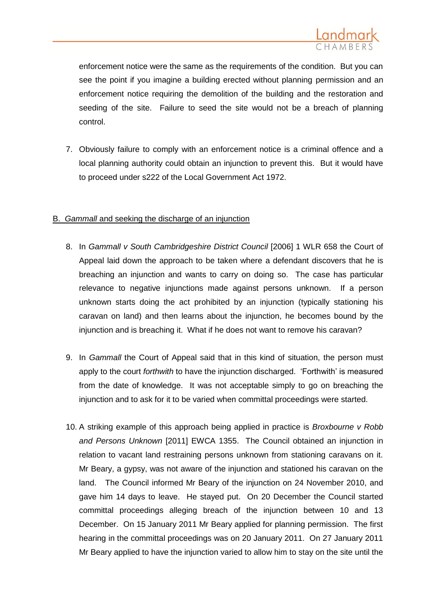

enforcement notice were the same as the requirements of the condition. But you can see the point if you imagine a building erected without planning permission and an enforcement notice requiring the demolition of the building and the restoration and seeding of the site. Failure to seed the site would not be a breach of planning control.

7. Obviously failure to comply with an enforcement notice is a criminal offence and a local planning authority could obtain an injunction to prevent this. But it would have to proceed under s222 of the Local Government Act 1972.

## B. *Gammall* and seeking the discharge of an injunction

- 8. In *Gammall v South Cambridgeshire District Council* [2006] 1 WLR 658 the Court of Appeal laid down the approach to be taken where a defendant discovers that he is breaching an injunction and wants to carry on doing so. The case has particular relevance to negative injunctions made against persons unknown. If a person unknown starts doing the act prohibited by an injunction (typically stationing his caravan on land) and then learns about the injunction, he becomes bound by the injunction and is breaching it. What if he does not want to remove his caravan?
- 9. In *Gammall* the Court of Appeal said that in this kind of situation, the person must apply to the court *forthwith* to have the injunction discharged. 'Forthwith' is measured from the date of knowledge. It was not acceptable simply to go on breaching the injunction and to ask for it to be varied when committal proceedings were started.
- 10. A striking example of this approach being applied in practice is *Broxbourne v Robb and Persons Unknown* [2011] EWCA 1355. The Council obtained an injunction in relation to vacant land restraining persons unknown from stationing caravans on it. Mr Beary, a gypsy, was not aware of the injunction and stationed his caravan on the land. The Council informed Mr Beary of the injunction on 24 November 2010, and gave him 14 days to leave. He stayed put. On 20 December the Council started committal proceedings alleging breach of the injunction between 10 and 13 December. On 15 January 2011 Mr Beary applied for planning permission. The first hearing in the committal proceedings was on 20 January 2011. On 27 January 2011 Mr Beary applied to have the injunction varied to allow him to stay on the site until the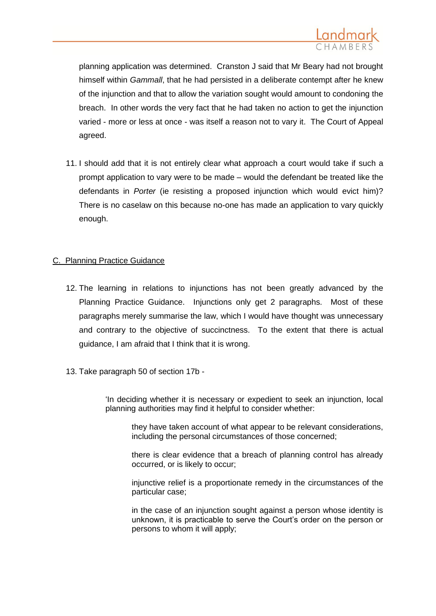

planning application was determined. Cranston J said that Mr Beary had not brought himself within *Gammall*, that he had persisted in a deliberate contempt after he knew of the injunction and that to allow the variation sought would amount to condoning the breach. In other words the very fact that he had taken no action to get the injunction varied - more or less at once - was itself a reason not to vary it. The Court of Appeal agreed.

11. I should add that it is not entirely clear what approach a court would take if such a prompt application to vary were to be made – would the defendant be treated like the defendants in *Porter* (ie resisting a proposed injunction which would evict him)? There is no caselaw on this because no-one has made an application to vary quickly enough.

## C. Planning Practice Guidance

- 12. The learning in relations to injunctions has not been greatly advanced by the Planning Practice Guidance. Injunctions only get 2 paragraphs. Most of these paragraphs merely summarise the law, which I would have thought was unnecessary and contrary to the objective of succinctness. To the extent that there is actual guidance, I am afraid that I think that it is wrong.
- 13. Take paragraph 50 of section 17b -

'In deciding whether it is necessary or expedient to seek an injunction, local planning authorities may find it helpful to consider whether:

they have taken account of what appear to be relevant considerations, including the personal circumstances of those concerned;

there is clear evidence that a breach of planning control has already occurred, or is likely to occur;

injunctive relief is a proportionate remedy in the circumstances of the particular case;

in the case of an injunction sought against a person whose identity is unknown, it is practicable to serve the Court's order on the person or persons to whom it will apply;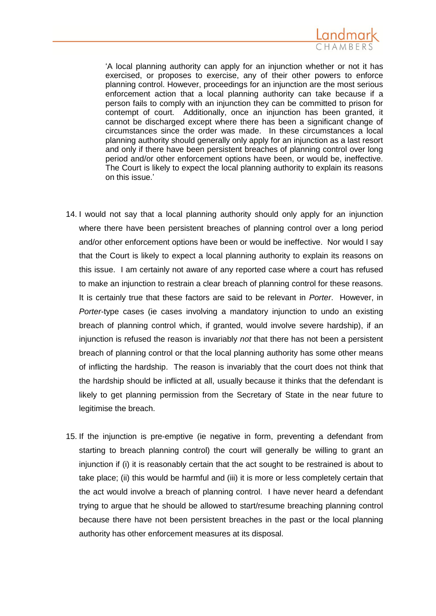

'A local planning authority can apply for an injunction whether or not it has exercised, or proposes to exercise, any of their other powers to enforce planning control. However, proceedings for an injunction are the most serious enforcement action that a local planning authority can take because if a person fails to comply with an injunction they can be committed to prison for contempt of court. Additionally, once an injunction has been granted, it cannot be discharged except where there has been a significant change of circumstances since the order was made. In these circumstances a local planning authority should generally only apply for an injunction as a last resort and only if there have been persistent breaches of planning control over long period and/or other enforcement options have been, or would be, ineffective. The Court is likely to expect the local planning authority to explain its reasons on this issue.'

- 14. I would not say that a local planning authority should only apply for an injunction where there have been persistent breaches of planning control over a long period and/or other enforcement options have been or would be ineffective. Nor would I say that the Court is likely to expect a local planning authority to explain its reasons on this issue. I am certainly not aware of any reported case where a court has refused to make an injunction to restrain a clear breach of planning control for these reasons. It is certainly true that these factors are said to be relevant in *Porter*. However, in *Porter-*type cases (ie cases involving a mandatory injunction to undo an existing breach of planning control which, if granted, would involve severe hardship), if an injunction is refused the reason is invariably *not* that there has not been a persistent breach of planning control or that the local planning authority has some other means of inflicting the hardship. The reason is invariably that the court does not think that the hardship should be inflicted at all, usually because it thinks that the defendant is likely to get planning permission from the Secretary of State in the near future to legitimise the breach.
- 15. If the injunction is pre-emptive (ie negative in form, preventing a defendant from starting to breach planning control) the court will generally be willing to grant an injunction if (i) it is reasonably certain that the act sought to be restrained is about to take place; (ii) this would be harmful and (iii) it is more or less completely certain that the act would involve a breach of planning control. I have never heard a defendant trying to argue that he should be allowed to start/resume breaching planning control because there have not been persistent breaches in the past or the local planning authority has other enforcement measures at its disposal.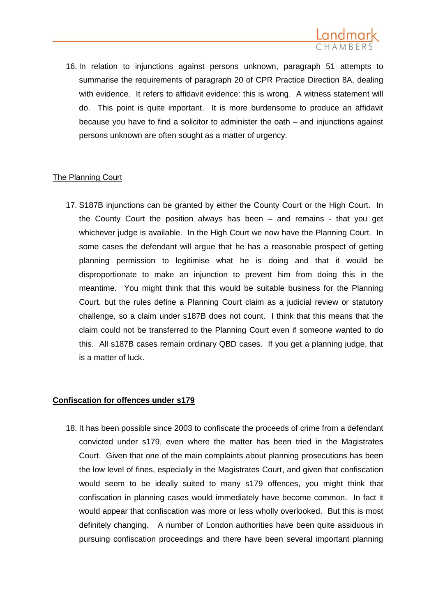

16. In relation to injunctions against persons unknown, paragraph 51 attempts to summarise the requirements of paragraph 20 of CPR Practice Direction 8A, dealing with evidence. It refers to affidavit evidence: this is wrong. A witness statement will do. This point is quite important. It is more burdensome to produce an affidavit because you have to find a solicitor to administer the oath – and injunctions against persons unknown are often sought as a matter of urgency.

## The Planning Court

17. S187B injunctions can be granted by either the County Court or the High Court. In the County Court the position always has been – and remains - that you get whichever judge is available. In the High Court we now have the Planning Court. In some cases the defendant will argue that he has a reasonable prospect of getting planning permission to legitimise what he is doing and that it would be disproportionate to make an injunction to prevent him from doing this in the meantime. You might think that this would be suitable business for the Planning Court, but the rules define a Planning Court claim as a judicial review or statutory challenge, so a claim under s187B does not count. I think that this means that the claim could not be transferred to the Planning Court even if someone wanted to do this. All s187B cases remain ordinary QBD cases. If you get a planning judge, that is a matter of luck.

## **Confiscation for offences under s179**

18. It has been possible since 2003 to confiscate the proceeds of crime from a defendant convicted under s179, even where the matter has been tried in the Magistrates Court. Given that one of the main complaints about planning prosecutions has been the low level of fines, especially in the Magistrates Court, and given that confiscation would seem to be ideally suited to many s179 offences, you might think that confiscation in planning cases would immediately have become common. In fact it would appear that confiscation was more or less wholly overlooked. But this is most definitely changing. A number of London authorities have been quite assiduous in pursuing confiscation proceedings and there have been several important planning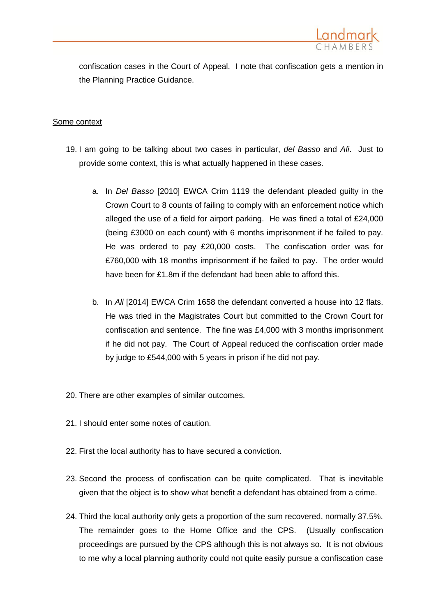

confiscation cases in the Court of Appeal. I note that confiscation gets a mention in the Planning Practice Guidance.

#### Some context

- 19. I am going to be talking about two cases in particular, *del Basso* and *Ali*. Just to provide some context, this is what actually happened in these cases.
	- a. In *Del Basso* [2010] EWCA Crim 1119 the defendant pleaded guilty in the Crown Court to 8 counts of failing to comply with an enforcement notice which alleged the use of a field for airport parking. He was fined a total of £24,000 (being £3000 on each count) with 6 months imprisonment if he failed to pay. He was ordered to pay £20,000 costs. The confiscation order was for £760,000 with 18 months imprisonment if he failed to pay. The order would have been for £1.8m if the defendant had been able to afford this.
	- b. In *Ali* [2014] EWCA Crim 1658 the defendant converted a house into 12 flats. He was tried in the Magistrates Court but committed to the Crown Court for confiscation and sentence. The fine was £4,000 with 3 months imprisonment if he did not pay. The Court of Appeal reduced the confiscation order made by judge to £544,000 with 5 years in prison if he did not pay.
- 20. There are other examples of similar outcomes.
- 21. I should enter some notes of caution.
- 22. First the local authority has to have secured a conviction.
- 23. Second the process of confiscation can be quite complicated. That is inevitable given that the object is to show what benefit a defendant has obtained from a crime.
- 24. Third the local authority only gets a proportion of the sum recovered, normally 37.5%. The remainder goes to the Home Office and the CPS. (Usually confiscation proceedings are pursued by the CPS although this is not always so. It is not obvious to me why a local planning authority could not quite easily pursue a confiscation case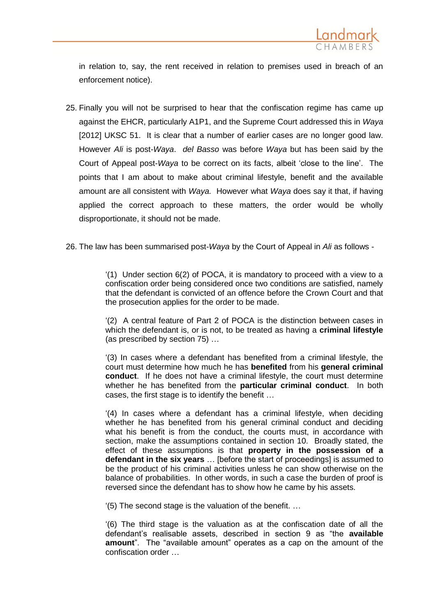

in relation to, say, the rent received in relation to premises used in breach of an enforcement notice).

- 25. Finally you will not be surprised to hear that the confiscation regime has came up against the EHCR, particularly A1P1, and the Supreme Court addressed this in *Waya* [2012] UKSC 51. It is clear that a number of earlier cases are no longer good law. However *Ali* is post-*Waya*. *del Basso* was before *Waya* but has been said by the Court of Appeal post-*Waya* to be correct on its facts, albeit 'close to the line'. The points that I am about to make about criminal lifestyle, benefit and the available amount are all consistent with *Waya.* However what *Waya* does say it that, if having applied the correct approach to these matters, the order would be wholly disproportionate, it should not be made.
- 26. The law has been summarised post-*Waya* by the Court of Appeal in *Ali* as follows -

'(1) Under section 6(2) of POCA, it is mandatory to proceed with a view to a confiscation order being considered once two conditions are satisfied, namely that the defendant is convicted of an offence before the Crown Court and that the prosecution applies for the order to be made.

'(2) A central feature of Part 2 of POCA is the distinction between cases in which the defendant is, or is not, to be treated as having a **criminal lifestyle** (as prescribed by section 75) …

'(3) In cases where a defendant has benefited from a criminal lifestyle, the court must determine how much he has **benefited** from his **general criminal conduct**. If he does not have a criminal lifestyle, the court must determine whether he has benefited from the **particular criminal conduct**. In both cases, the first stage is to identify the benefit …

'(4) In cases where a defendant has a criminal lifestyle, when deciding whether he has benefited from his general criminal conduct and deciding what his benefit is from the conduct, the courts must, in accordance with section, make the assumptions contained in section 10. Broadly stated, the effect of these assumptions is that **property in the possession of a defendant in the six years** … [before the start of proceedings] is assumed to be the product of his criminal activities unless he can show otherwise on the balance of probabilities. In other words, in such a case the burden of proof is reversed since the defendant has to show how he came by his assets.

'(5) The second stage is the valuation of the benefit. …

'(6) The third stage is the valuation as at the confiscation date of all the defendant's realisable assets, described in section 9 as "the **available amount**". The "available amount" operates as a cap on the amount of the confiscation order …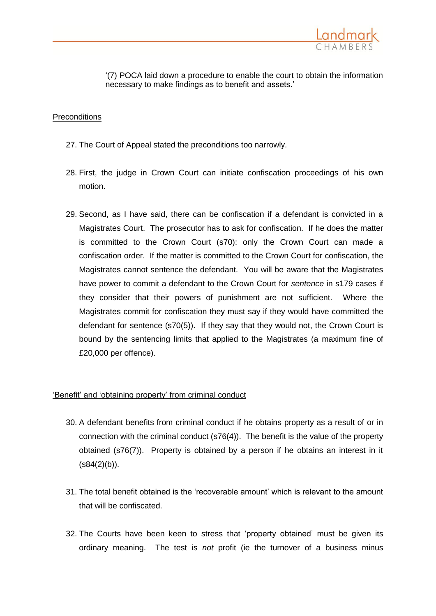

'(7) POCA laid down a procedure to enable the court to obtain the information necessary to make findings as to benefit and assets.'

### **Preconditions**

- 27. The Court of Appeal stated the preconditions too narrowly.
- 28. First, the judge in Crown Court can initiate confiscation proceedings of his own motion.
- 29. Second, as I have said, there can be confiscation if a defendant is convicted in a Magistrates Court. The prosecutor has to ask for confiscation. If he does the matter is committed to the Crown Court (s70): only the Crown Court can made a confiscation order. If the matter is committed to the Crown Court for confiscation, the Magistrates cannot sentence the defendant. You will be aware that the Magistrates have power to commit a defendant to the Crown Court for *sentence* in s179 cases if they consider that their powers of punishment are not sufficient. Where the Magistrates commit for confiscation they must say if they would have committed the defendant for sentence (s70(5)). If they say that they would not, the Crown Court is bound by the sentencing limits that applied to the Magistrates (a maximum fine of £20,000 per offence).

## 'Benefit' and 'obtaining property' from criminal conduct

- 30. A defendant benefits from criminal conduct if he obtains property as a result of or in connection with the criminal conduct (s76(4)). The benefit is the value of the property obtained (s76(7)). Property is obtained by a person if he obtains an interest in it  $(s84(2)(b)).$
- 31. The total benefit obtained is the 'recoverable amount' which is relevant to the amount that will be confiscated.
- 32. The Courts have been keen to stress that 'property obtained' must be given its ordinary meaning. The test is *not* profit (ie the turnover of a business minus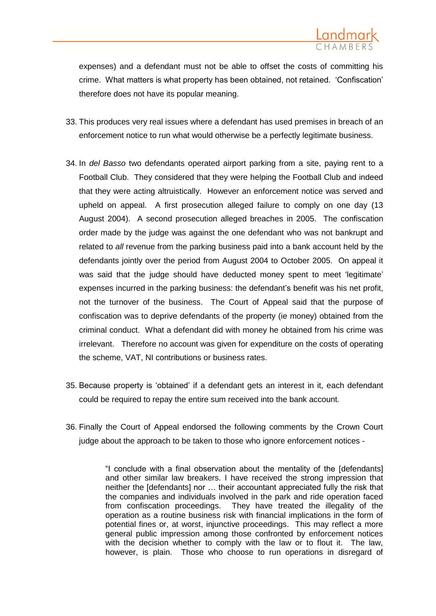

expenses) and a defendant must not be able to offset the costs of committing his crime. What matters is what property has been obtained, not retained. 'Confiscation' therefore does not have its popular meaning.

- 33. This produces very real issues where a defendant has used premises in breach of an enforcement notice to run what would otherwise be a perfectly legitimate business.
- 34. In *del Basso* two defendants operated airport parking from a site, paying rent to a Football Club. They considered that they were helping the Football Club and indeed that they were acting altruistically. However an enforcement notice was served and upheld on appeal. A first prosecution alleged failure to comply on one day (13 August 2004). A second prosecution alleged breaches in 2005. The confiscation order made by the judge was against the one defendant who was not bankrupt and related to *all* revenue from the parking business paid into a bank account held by the defendants jointly over the period from August 2004 to October 2005. On appeal it was said that the judge should have deducted money spent to meet 'legitimate' expenses incurred in the parking business: the defendant's benefit was his net profit, not the turnover of the business. The Court of Appeal said that the purpose of confiscation was to deprive defendants of the property (ie money) obtained from the criminal conduct. What a defendant did with money he obtained from his crime was irrelevant. Therefore no account was given for expenditure on the costs of operating the scheme, VAT, NI contributions or business rates.
- 35. Because property is 'obtained' if a defendant gets an interest in it, each defendant could be required to repay the entire sum received into the bank account.
- 36. Finally the Court of Appeal endorsed the following comments by the Crown Court judge about the approach to be taken to those who ignore enforcement notices -

"I conclude with a final observation about the mentality of the [defendants] and other similar law breakers. I have received the strong impression that neither the [defendants] nor … their accountant appreciated fully the risk that the companies and individuals involved in the park and ride operation faced from confiscation proceedings. They have treated the illegality of the operation as a routine business risk with financial implications in the form of potential fines or, at worst, injunctive proceedings. This may reflect a more general public impression among those confronted by enforcement notices with the decision whether to comply with the law or to flout it. The law, however, is plain. Those who choose to run operations in disregard of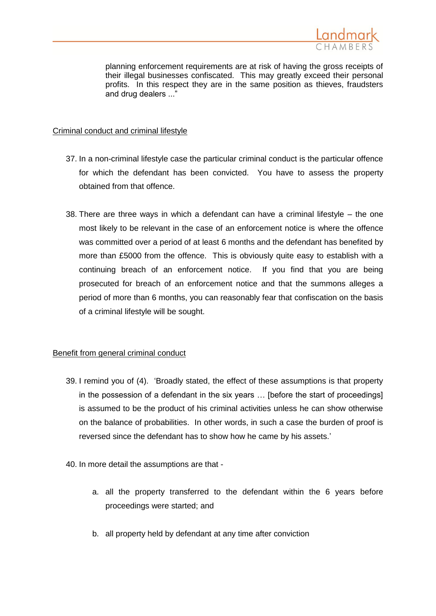

planning enforcement requirements are at risk of having the gross receipts of their illegal businesses confiscated. This may greatly exceed their personal profits. In this respect they are in the same position as thieves, fraudsters and drug dealers ..."

# Criminal conduct and criminal lifestyle

- 37. In a non-criminal lifestyle case the particular criminal conduct is the particular offence for which the defendant has been convicted. You have to assess the property obtained from that offence.
- 38. There are three ways in which a defendant can have a criminal lifestyle the one most likely to be relevant in the case of an enforcement notice is where the offence was committed over a period of at least 6 months and the defendant has benefited by more than £5000 from the offence. This is obviously quite easy to establish with a continuing breach of an enforcement notice. If you find that you are being prosecuted for breach of an enforcement notice and that the summons alleges a period of more than 6 months, you can reasonably fear that confiscation on the basis of a criminal lifestyle will be sought.

## Benefit from general criminal conduct

- 39. I remind you of (4). 'Broadly stated, the effect of these assumptions is that property in the possession of a defendant in the six years … [before the start of proceedings] is assumed to be the product of his criminal activities unless he can show otherwise on the balance of probabilities. In other words, in such a case the burden of proof is reversed since the defendant has to show how he came by his assets.'
- 40. In more detail the assumptions are that
	- a. all the property transferred to the defendant within the 6 years before proceedings were started; and
	- b. all property held by defendant at any time after conviction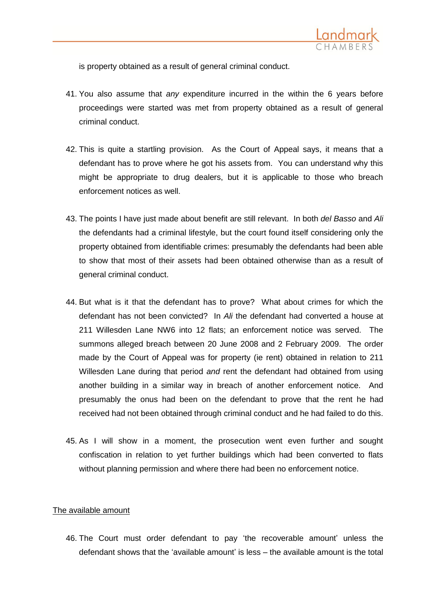

is property obtained as a result of general criminal conduct.

- 41. You also assume that *any* expenditure incurred in the within the 6 years before proceedings were started was met from property obtained as a result of general criminal conduct.
- 42. This is quite a startling provision. As the Court of Appeal says, it means that a defendant has to prove where he got his assets from. You can understand why this might be appropriate to drug dealers, but it is applicable to those who breach enforcement notices as well.
- 43. The points I have just made about benefit are still relevant. In both *del Basso* and *Ali* the defendants had a criminal lifestyle, but the court found itself considering only the property obtained from identifiable crimes: presumably the defendants had been able to show that most of their assets had been obtained otherwise than as a result of general criminal conduct.
- 44. But what is it that the defendant has to prove? What about crimes for which the defendant has not been convicted?In *Ali* the defendant had converted a house at 211 Willesden Lane NW6 into 12 flats; an enforcement notice was served. The summons alleged breach between 20 June 2008 and 2 February 2009. The order made by the Court of Appeal was for property (ie rent) obtained in relation to 211 Willesden Lane during that period *and* rent the defendant had obtained from using another building in a similar way in breach of another enforcement notice. And presumably the onus had been on the defendant to prove that the rent he had received had not been obtained through criminal conduct and he had failed to do this.
- 45. As I will show in a moment, the prosecution went even further and sought confiscation in relation to yet further buildings which had been converted to flats without planning permission and where there had been no enforcement notice.

## The available amount

46. The Court must order defendant to pay 'the recoverable amount' unless the defendant shows that the 'available amount' is less – the available amount is the total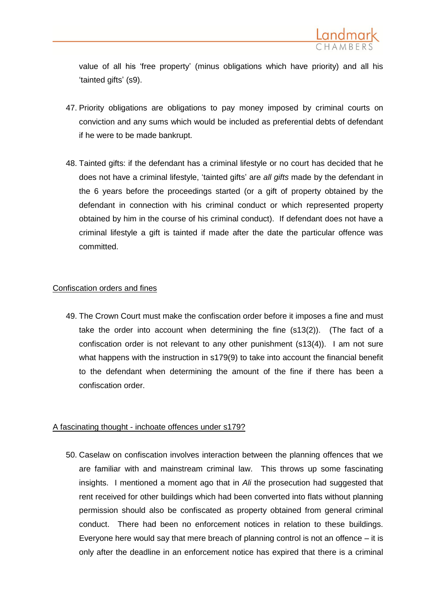

value of all his 'free property' (minus obligations which have priority) and all his 'tainted gifts' (s9).

- 47. Priority obligations are obligations to pay money imposed by criminal courts on conviction and any sums which would be included as preferential debts of defendant if he were to be made bankrupt.
- 48. Tainted gifts: if the defendant has a criminal lifestyle or no court has decided that he does not have a criminal lifestyle, 'tainted gifts' are *all gifts* made by the defendant in the 6 years before the proceedings started (or a gift of property obtained by the defendant in connection with his criminal conduct or which represented property obtained by him in the course of his criminal conduct). If defendant does not have a criminal lifestyle a gift is tainted if made after the date the particular offence was committed.

### Confiscation orders and fines

49. The Crown Court must make the confiscation order before it imposes a fine and must take the order into account when determining the fine (s13(2)). (The fact of a confiscation order is not relevant to any other punishment (s13(4)). I am not sure what happens with the instruction in s179(9) to take into account the financial benefit to the defendant when determining the amount of the fine if there has been a confiscation order.

## A fascinating thought - inchoate offences under s179?

50. Caselaw on confiscation involves interaction between the planning offences that we are familiar with and mainstream criminal law. This throws up some fascinating insights. I mentioned a moment ago that in *Ali* the prosecution had suggested that rent received for other buildings which had been converted into flats without planning permission should also be confiscated as property obtained from general criminal conduct. There had been no enforcement notices in relation to these buildings. Everyone here would say that mere breach of planning control is not an offence – it is only after the deadline in an enforcement notice has expired that there is a criminal